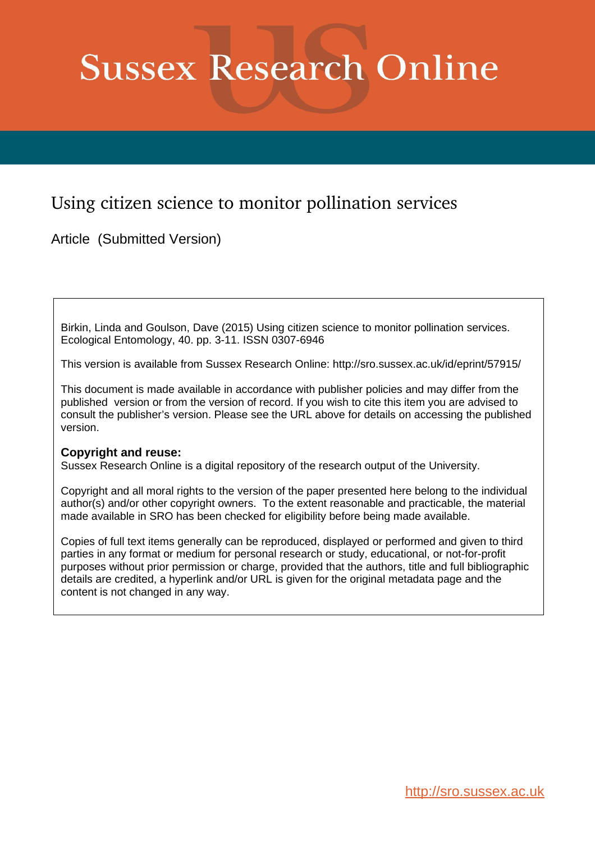# **Sussex Research Online**

# Using citizen science to monitor pollination services

Article (Submitted Version)

Birkin, Linda and Goulson, Dave (2015) Using citizen science to monitor pollination services. Ecological Entomology, 40. pp. 3-11. ISSN 0307-6946

This version is available from Sussex Research Online: http://sro.sussex.ac.uk/id/eprint/57915/

This document is made available in accordance with publisher policies and may differ from the published version or from the version of record. If you wish to cite this item you are advised to consult the publisher's version. Please see the URL above for details on accessing the published version.

#### **Copyright and reuse:**

Sussex Research Online is a digital repository of the research output of the University.

Copyright and all moral rights to the version of the paper presented here belong to the individual author(s) and/or other copyright owners. To the extent reasonable and practicable, the material made available in SRO has been checked for eligibility before being made available.

Copies of full text items generally can be reproduced, displayed or performed and given to third parties in any format or medium for personal research or study, educational, or not-for-profit purposes without prior permission or charge, provided that the authors, title and full bibliographic details are credited, a hyperlink and/or URL is given for the original metadata page and the content is not changed in any way.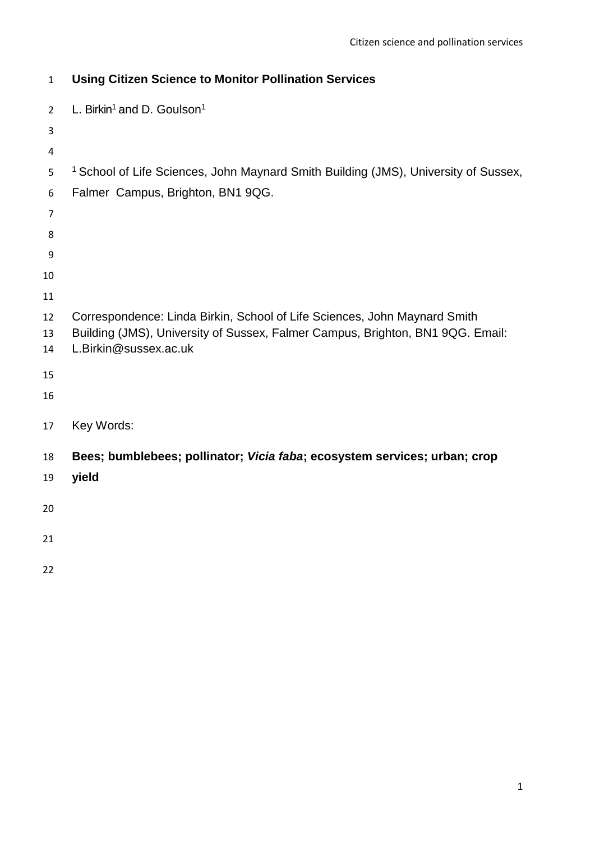| $\mathbf{1}$   | <b>Using Citizen Science to Monitor Pollination Services</b>                                                                                                |
|----------------|-------------------------------------------------------------------------------------------------------------------------------------------------------------|
| $\overline{2}$ | L. Birkin <sup>1</sup> and D. Goulson <sup>1</sup>                                                                                                          |
| 3              |                                                                                                                                                             |
| 4              |                                                                                                                                                             |
| 5              | <sup>1</sup> School of Life Sciences, John Maynard Smith Building (JMS), University of Sussex,                                                              |
| 6              | Falmer Campus, Brighton, BN1 9QG.                                                                                                                           |
| 7              |                                                                                                                                                             |
| 8              |                                                                                                                                                             |
| 9              |                                                                                                                                                             |
| 10             |                                                                                                                                                             |
| 11             |                                                                                                                                                             |
| 12<br>13       | Correspondence: Linda Birkin, School of Life Sciences, John Maynard Smith<br>Building (JMS), University of Sussex, Falmer Campus, Brighton, BN1 9QG. Email: |
| 14             | L.Birkin@sussex.ac.uk                                                                                                                                       |
| 15             |                                                                                                                                                             |
| 16             |                                                                                                                                                             |
| 17             | Key Words:                                                                                                                                                  |
| 18             | Bees; bumblebees; pollinator; Vicia faba; ecosystem services; urban; crop                                                                                   |
| 19             | yield                                                                                                                                                       |
| 20             |                                                                                                                                                             |
| 21             |                                                                                                                                                             |
| 22             |                                                                                                                                                             |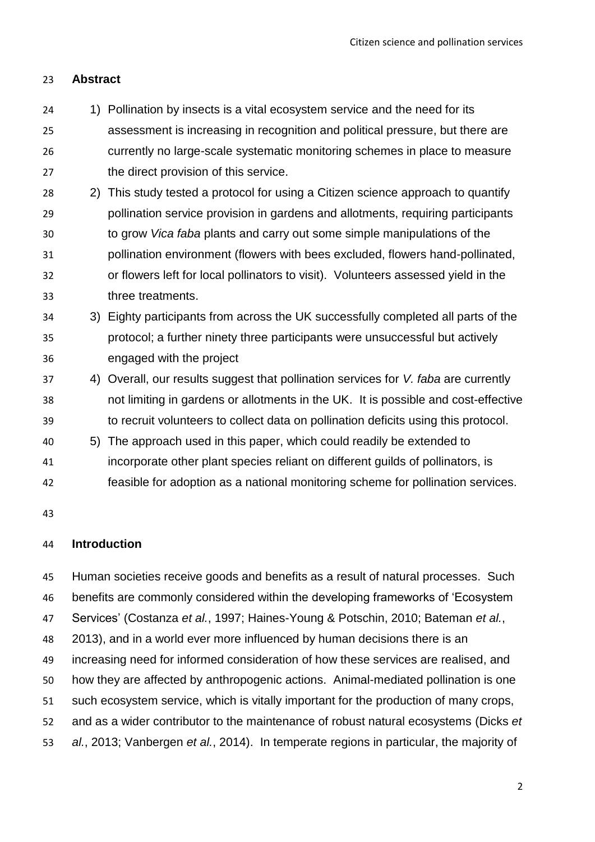# **Abstract**

- 24 1) Pollination by insects is a vital ecosystem service and the need for its assessment is increasing in recognition and political pressure, but there are currently no large-scale systematic monitoring schemes in place to measure the direct provision of this service.
- 2) This study tested a protocol for using a Citizen science approach to quantify pollination service provision in gardens and allotments, requiring participants to grow *Vica faba* plants and carry out some simple manipulations of the pollination environment (flowers with bees excluded, flowers hand-pollinated, or flowers left for local pollinators to visit). Volunteers assessed yield in the three treatments.
- 3) Eighty participants from across the UK successfully completed all parts of the protocol; a further ninety three participants were unsuccessful but actively engaged with the project
- 4) Overall, our results suggest that pollination services for *V. faba* are currently not limiting in gardens or allotments in the UK. It is possible and cost-effective to recruit volunteers to collect data on pollination deficits using this protocol.
- 5) The approach used in this paper, which could readily be extended to
- incorporate other plant species reliant on different guilds of pollinators, is
- feasible for adoption as a national monitoring scheme for pollination services.

## **Introduction**

 Human societies receive goods and benefits as a result of natural processes. Such benefits are commonly considered within the developing frameworks of 'Ecosystem Services' (Costanza *et al.*, 1997; Haines-Young & Potschin, 2010; Bateman *et al.*, 2013), and in a world ever more influenced by human decisions there is an increasing need for informed consideration of how these services are realised, and how they are affected by anthropogenic actions. Animal-mediated pollination is one such ecosystem service, which is vitally important for the production of many crops, and as a wider contributor to the maintenance of robust natural ecosystems (Dicks *et al.*, 2013; Vanbergen *et al.*, 2014). In temperate regions in particular, the majority of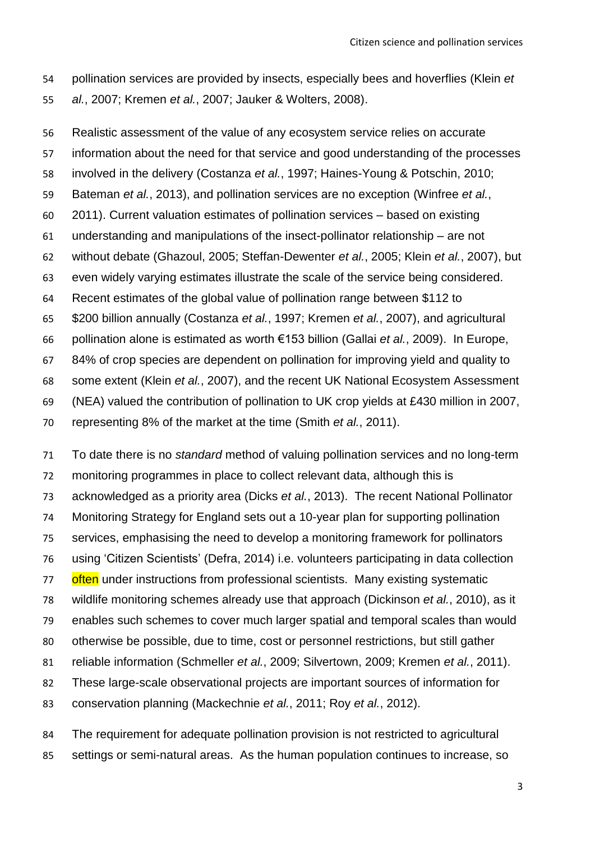pollination services are provided by insects, especially bees and hoverflies (Klein *et al.*, 2007; Kremen *et al.*, 2007; Jauker & Wolters, 2008).

 Realistic assessment of the value of any ecosystem service relies on accurate information about the need for that service and good understanding of the processes involved in the delivery (Costanza *et al.*, 1997; Haines-Young & Potschin, 2010; Bateman *et al.*, 2013), and pollination services are no exception (Winfree *et al.*, 2011). Current valuation estimates of pollination services – based on existing understanding and manipulations of the insect-pollinator relationship – are not without debate (Ghazoul, 2005; Steffan-Dewenter *et al.*, 2005; Klein *et al.*, 2007), but even widely varying estimates illustrate the scale of the service being considered. Recent estimates of the global value of pollination range between \$112 to \$200 billion annually (Costanza *et al.*, 1997; Kremen *et al.*, 2007), and agricultural pollination alone is estimated as worth €153 billion (Gallai *et al.*, 2009). In Europe, 84% of crop species are dependent on pollination for improving yield and quality to some extent (Klein *et al.*, 2007), and the recent UK National Ecosystem Assessment (NEA) valued the contribution of pollination to UK crop yields at £430 million in 2007,

representing 8% of the market at the time (Smith *et al.*, 2011).

 To date there is no *standard* method of valuing pollination services and no long-term monitoring programmes in place to collect relevant data, although this is acknowledged as a priority area (Dicks *et al.*, 2013). The recent National Pollinator Monitoring Strategy for England sets out a 10-year plan for supporting pollination services, emphasising the need to develop a monitoring framework for pollinators using 'Citizen Scientists' (Defra, 2014) i.e. volunteers participating in data collection 77 often under instructions from professional scientists. Many existing systematic wildlife monitoring schemes already use that approach (Dickinson *et al.*, 2010), as it enables such schemes to cover much larger spatial and temporal scales than would otherwise be possible, due to time, cost or personnel restrictions, but still gather reliable information (Schmeller *et al.*, 2009; Silvertown, 2009; Kremen *et al.*, 2011). These large-scale observational projects are important sources of information for conservation planning (Mackechnie *et al.*, 2011; Roy *et al.*, 2012).

 The requirement for adequate pollination provision is not restricted to agricultural settings or semi-natural areas. As the human population continues to increase, so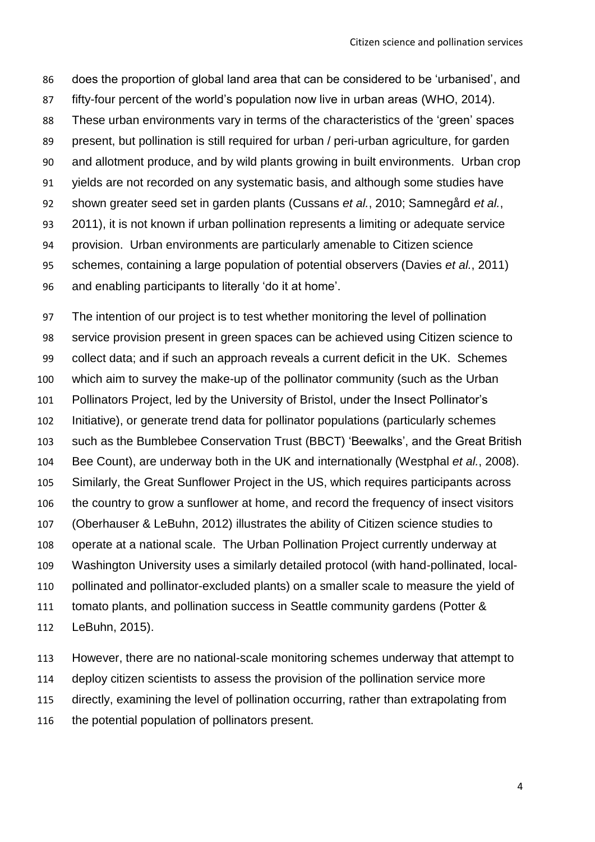does the proportion of global land area that can be considered to be 'urbanised', and fifty-four percent of the world's population now live in urban areas (WHO, 2014). These urban environments vary in terms of the characteristics of the 'green' spaces present, but pollination is still required for urban / peri-urban agriculture, for garden and allotment produce, and by wild plants growing in built environments. Urban crop yields are not recorded on any systematic basis, and although some studies have shown greater seed set in garden plants (Cussans *et al.*, 2010; Samnegård *et al.*, 2011), it is not known if urban pollination represents a limiting or adequate service provision. Urban environments are particularly amenable to Citizen science schemes, containing a large population of potential observers (Davies *et al.*, 2011) and enabling participants to literally 'do it at home'.

 The intention of our project is to test whether monitoring the level of pollination service provision present in green spaces can be achieved using Citizen science to collect data; and if such an approach reveals a current deficit in the UK. Schemes which aim to survey the make-up of the pollinator community (such as the Urban Pollinators Project, led by the University of Bristol, under the Insect Pollinator's Initiative), or generate trend data for pollinator populations (particularly schemes such as the Bumblebee Conservation Trust (BBCT) 'Beewalks', and the Great British Bee Count), are underway both in the UK and internationally (Westphal *et al.*, 2008). Similarly, the Great Sunflower Project in the US, which requires participants across the country to grow a sunflower at home, and record the frequency of insect visitors (Oberhauser & LeBuhn, 2012) illustrates the ability of Citizen science studies to operate at a national scale. The Urban Pollination Project currently underway at Washington University uses a similarly detailed protocol (with hand-pollinated, local- pollinated and pollinator-excluded plants) on a smaller scale to measure the yield of tomato plants, and pollination success in Seattle community gardens (Potter & LeBuhn, 2015).

 However, there are no national-scale monitoring schemes underway that attempt to deploy citizen scientists to assess the provision of the pollination service more directly, examining the level of pollination occurring, rather than extrapolating from the potential population of pollinators present.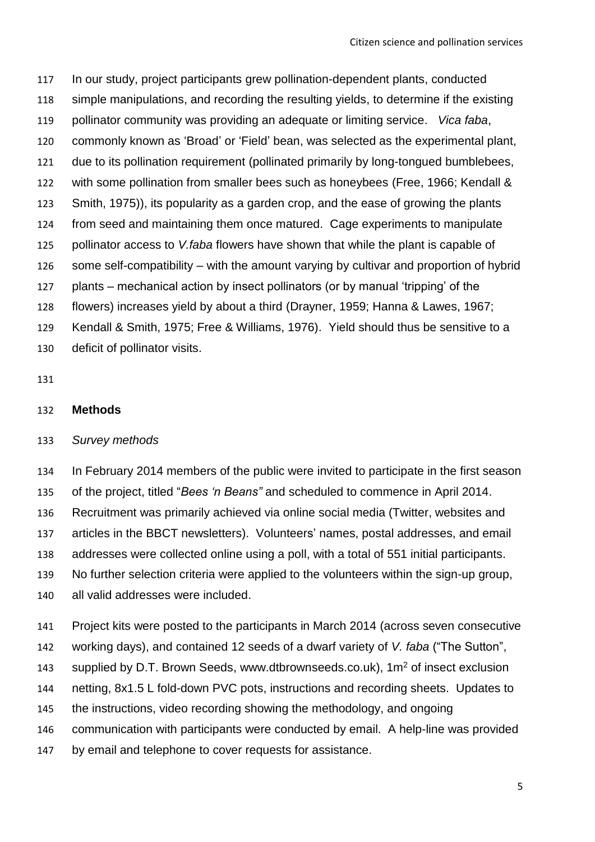In our study, project participants grew pollination-dependent plants, conducted simple manipulations, and recording the resulting yields, to determine if the existing pollinator community was providing an adequate or limiting service. *Vica faba*, commonly known as 'Broad' or 'Field' bean, was selected as the experimental plant, due to its pollination requirement (pollinated primarily by long-tongued bumblebees, with some pollination from smaller bees such as honeybees (Free, 1966; Kendall & Smith, 1975)), its popularity as a garden crop, and the ease of growing the plants from seed and maintaining them once matured. Cage experiments to manipulate pollinator access to *V.faba* flowers have shown that while the plant is capable of some self-compatibility – with the amount varying by cultivar and proportion of hybrid plants – mechanical action by insect pollinators (or by manual 'tripping' of the flowers) increases yield by about a third (Drayner, 1959; Hanna & Lawes, 1967; Kendall & Smith, 1975; Free & Williams, 1976). Yield should thus be sensitive to a deficit of pollinator visits.

#### **Methods**

#### *Survey methods*

 In February 2014 members of the public were invited to participate in the first season of the project, titled "*Bees 'n Beans"* and scheduled to commence in April 2014. Recruitment was primarily achieved via online social media (Twitter, websites and articles in the BBCT newsletters). Volunteers' names, postal addresses, and email addresses were collected online using a poll, with a total of 551 initial participants. No further selection criteria were applied to the volunteers within the sign-up group, all valid addresses were included.

- Project kits were posted to the participants in March 2014 (across seven consecutive
- working days), and contained 12 seeds of a dwarf variety of *V. faba* ("The Sutton",
- supplied by D.T. Brown Seeds, www.dtbrownseeds.co.uk), 1m<sup>2</sup> of insect exclusion
- netting, 8x1.5 L fold-down PVC pots, instructions and recording sheets. Updates to
- the instructions, video recording showing the methodology, and ongoing
- communication with participants were conducted by email. A help-line was provided
- by email and telephone to cover requests for assistance.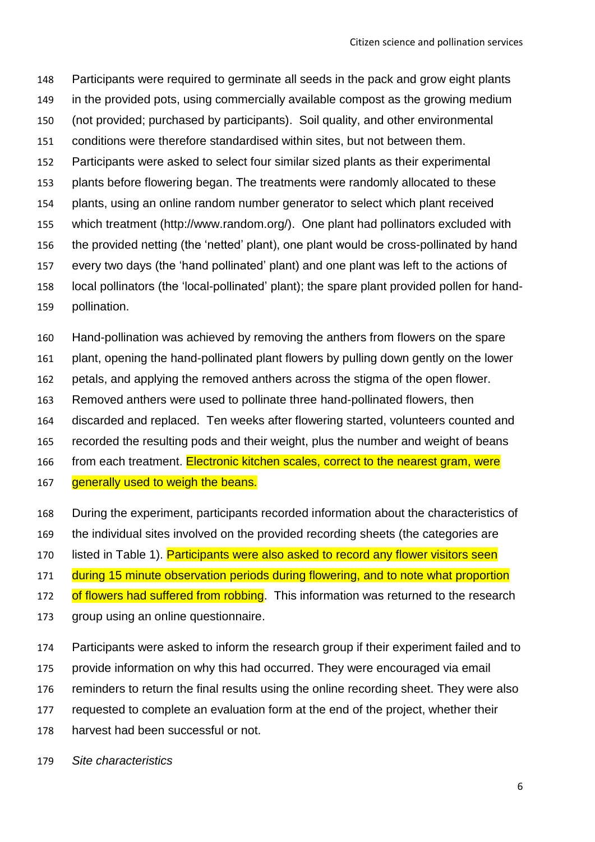Participants were required to germinate all seeds in the pack and grow eight plants in the provided pots, using commercially available compost as the growing medium (not provided; purchased by participants). Soil quality, and other environmental conditions were therefore standardised within sites, but not between them. Participants were asked to select four similar sized plants as their experimental plants before flowering began. The treatments were randomly allocated to these plants, using an online random number generator to select which plant received which treatment (http://www.random.org/). One plant had pollinators excluded with the provided netting (the 'netted' plant), one plant would be cross-pollinated by hand every two days (the 'hand pollinated' plant) and one plant was left to the actions of local pollinators (the 'local-pollinated' plant); the spare plant provided pollen for hand-pollination.

Hand-pollination was achieved by removing the anthers from flowers on the spare

- plant, opening the hand-pollinated plant flowers by pulling down gently on the lower
- petals, and applying the removed anthers across the stigma of the open flower.
- Removed anthers were used to pollinate three hand-pollinated flowers, then
- discarded and replaced. Ten weeks after flowering started, volunteers counted and
- recorded the resulting pods and their weight, plus the number and weight of beans
- 166 from each treatment. Electronic kitchen scales, correct to the nearest gram, were
- 167 generally used to weigh the beans.
- During the experiment, participants recorded information about the characteristics of
- the individual sites involved on the provided recording sheets (the categories are
- 170 listed in Table 1). Participants were also asked to record any flower visitors seen
- 171 during 15 minute observation periods during flowering, and to note what proportion
- 172 of flowers had suffered from robbing. This information was returned to the research
- group using an online questionnaire.
- Participants were asked to inform the research group if their experiment failed and to
- provide information on why this had occurred. They were encouraged via email
- reminders to return the final results using the online recording sheet. They were also
- requested to complete an evaluation form at the end of the project, whether their
- harvest had been successful or not.
- *Site characteristics*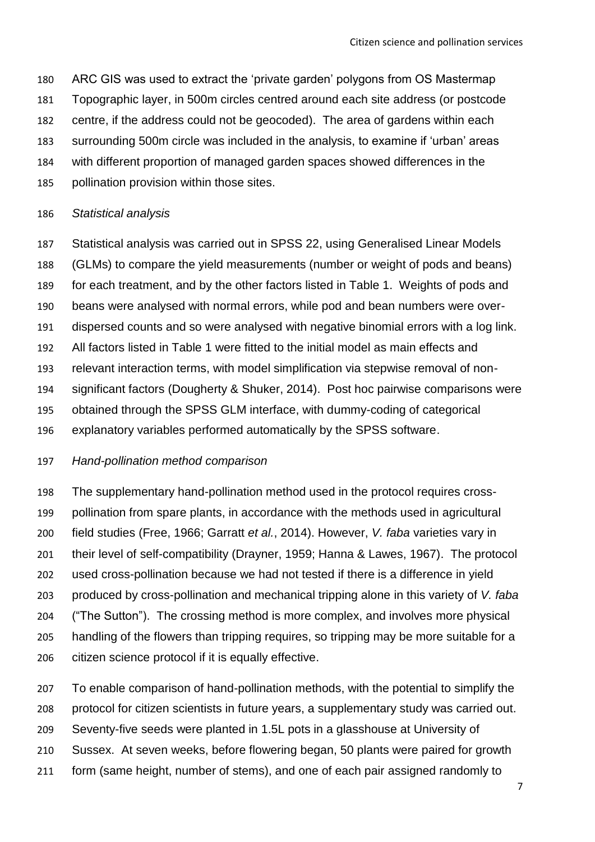- ARC GIS was used to extract the 'private garden' polygons from OS Mastermap
- Topographic layer, in 500m circles centred around each site address (or postcode
- centre, if the address could not be geocoded). The area of gardens within each
- surrounding 500m circle was included in the analysis, to examine if 'urban' areas
- with different proportion of managed garden spaces showed differences in the
- pollination provision within those sites.

#### *Statistical analysis*

 Statistical analysis was carried out in SPSS 22, using Generalised Linear Models (GLMs) to compare the yield measurements (number or weight of pods and beans) for each treatment, and by the other factors listed in Table 1. Weights of pods and beans were analysed with normal errors, while pod and bean numbers were over- dispersed counts and so were analysed with negative binomial errors with a log link. All factors listed in Table 1 were fitted to the initial model as main effects and relevant interaction terms, with model simplification via stepwise removal of non- significant factors (Dougherty & Shuker, 2014). Post hoc pairwise comparisons were obtained through the SPSS GLM interface, with dummy-coding of categorical explanatory variables performed automatically by the SPSS software.

#### *Hand-pollination method comparison*

 The supplementary hand-pollination method used in the protocol requires cross- pollination from spare plants, in accordance with the methods used in agricultural field studies (Free, 1966; Garratt *et al.*, 2014). However, *V. faba* varieties vary in their level of self-compatibility (Drayner, 1959; Hanna & Lawes, 1967). The protocol used cross-pollination because we had not tested if there is a difference in yield produced by cross-pollination and mechanical tripping alone in this variety of *V. faba* ("The Sutton"). The crossing method is more complex, and involves more physical handling of the flowers than tripping requires, so tripping may be more suitable for a citizen science protocol if it is equally effective.

 To enable comparison of hand-pollination methods, with the potential to simplify the protocol for citizen scientists in future years, a supplementary study was carried out. Seventy-five seeds were planted in 1.5L pots in a glasshouse at University of Sussex. At seven weeks, before flowering began, 50 plants were paired for growth form (same height, number of stems), and one of each pair assigned randomly to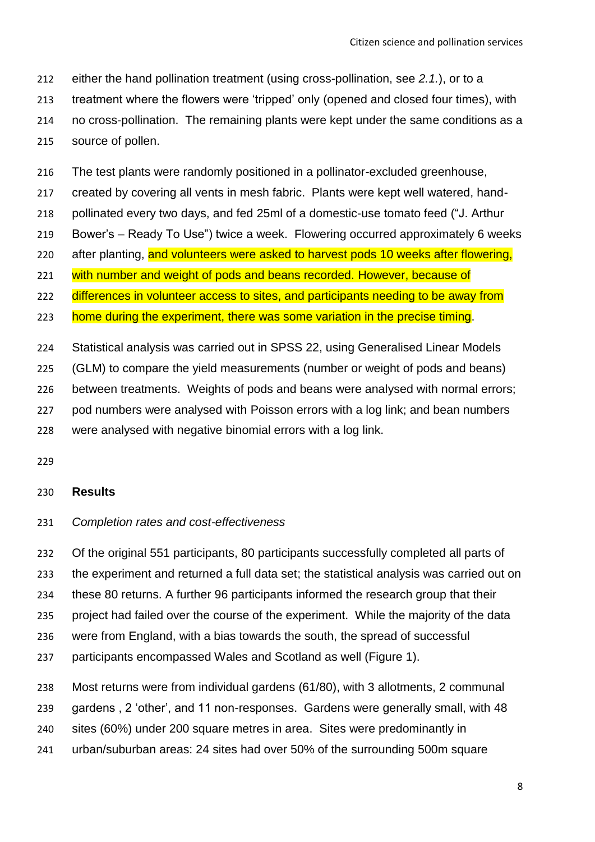either the hand pollination treatment (using cross-pollination, see *2.1.*), or to a

treatment where the flowers were 'tripped' only (opened and closed four times), with

 no cross-pollination. The remaining plants were kept under the same conditions as a source of pollen.

The test plants were randomly positioned in a pollinator-excluded greenhouse,

created by covering all vents in mesh fabric. Plants were kept well watered, hand-

pollinated every two days, and fed 25ml of a domestic-use tomato feed ("J. Arthur

Bower's – Ready To Use") twice a week. Flowering occurred approximately 6 weeks

220 after planting, and volunteers were asked to harvest pods 10 weeks after flowering,

221 with number and weight of pods and beans recorded. However, because of

222 differences in volunteer access to sites, and participants needing to be away from

223 home during the experiment, there was some variation in the precise timing.

Statistical analysis was carried out in SPSS 22, using Generalised Linear Models

(GLM) to compare the yield measurements (number or weight of pods and beans)

between treatments. Weights of pods and beans were analysed with normal errors;

pod numbers were analysed with Poisson errors with a log link; and bean numbers

were analysed with negative binomial errors with a log link.

#### **Results**

#### *Completion rates and cost-effectiveness*

Of the original 551 participants, 80 participants successfully completed all parts of

the experiment and returned a full data set; the statistical analysis was carried out on

these 80 returns. A further 96 participants informed the research group that their

project had failed over the course of the experiment. While the majority of the data

were from England, with a bias towards the south, the spread of successful

participants encompassed Wales and Scotland as well (Figure 1).

Most returns were from individual gardens (61/80), with 3 allotments, 2 communal

gardens , 2 'other', and 11 non-responses. Gardens were generally small, with 48

sites (60%) under 200 square metres in area. Sites were predominantly in

urban/suburban areas: 24 sites had over 50% of the surrounding 500m square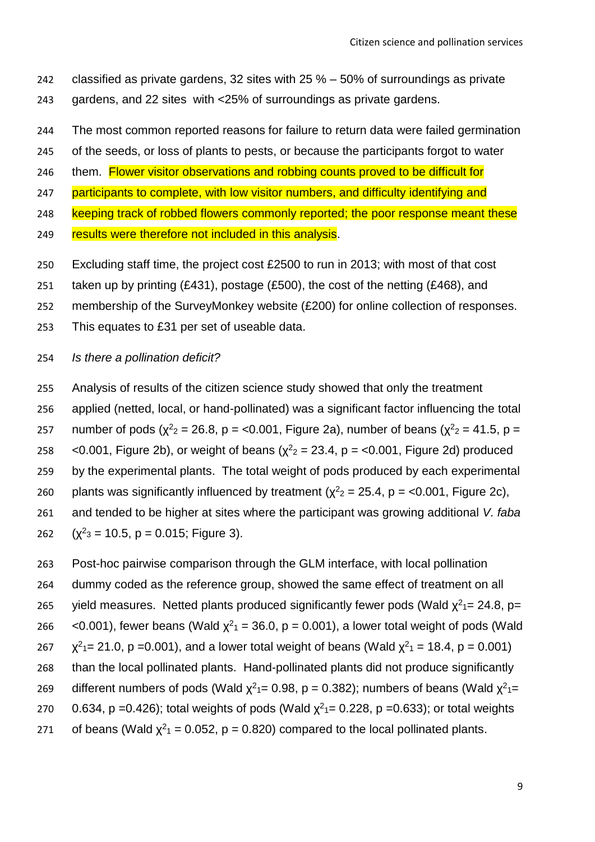- 242 classified as private gardens, 32 sites with 25 % 50% of surroundings as private 243 gardens, and 22 sites with <25% of surroundings as private gardens.
- 244 The most common reported reasons for failure to return data were failed germination
- 245 of the seeds, or loss of plants to pests, or because the participants forgot to water
- 246 them. Flower visitor observations and robbing counts proved to be difficult for
- 247 participants to complete, with low visitor numbers, and difficulty identifying and
- 248 keeping track of robbed flowers commonly reported; the poor response meant these
- 249 results were therefore not included in this analysis.
- 250 Excluding staff time, the project cost £2500 to run in 2013; with most of that cost
- 251 taken up by printing (£431), postage (£500), the cost of the netting (£468), and
- 252 membership of the SurveyMonkey website (£200) for online collection of responses.
- 253 This equates to £31 per set of useable data.

#### 254 *Is there a pollination deficit?*

255 Analysis of results of the citizen science study showed that only the treatment

- 256 applied (netted, local, or hand-pollinated) was a significant factor influencing the total
- 257 number of pods ( $\chi^2$ <sub>2</sub> = 26.8, p = <0.001, Figure 2a), number of beans ( $\chi^2$ <sub>2</sub> = 41.5, p =
- 258  $\leq$  0.001, Figure 2b), or weight of beans ( $\chi^2$ <sub>2</sub> = 23.4, p =  $\lt$ 0.001, Figure 2d) produced
- 259 by the experimental plants. The total weight of pods produced by each experimental
- 260 plants was significantly influenced by treatment ( $\chi^2$ <sub>2</sub> = 25.4, p = <0.001, Figure 2c),
- 261 and tended to be higher at sites where the participant was growing additional *V. faba*
- 262  $(x^2$ <sub>3</sub> = 10.5, p = 0.015; Figure 3).
- 263 Post-hoc pairwise comparison through the GLM interface, with local pollination
- 264 dummy coded as the reference group, showed the same effect of treatment on all
- 265 yield measures. Netted plants produced significantly fewer pods (Wald  $\chi^2$ <sub>1</sub> = 24.8, p=
- 266 <0.001), fewer beans (Wald  $\chi^2$ <sub>1</sub> = 36.0, p = 0.001), a lower total weight of pods (Wald
- 267  $\chi^2$ <sub>1</sub> = 21.0, p = 0.001), and a lower total weight of beans (Wald  $\chi^2$ <sub>1</sub> = 18.4, p = 0.001)
- 268 than the local pollinated plants. Hand-pollinated plants did not produce significantly
- 269 different numbers of pods (Wald  $\chi^2$ <sub>1</sub> = 0.98, p = 0.382); numbers of beans (Wald  $\chi^2$ <sub>1</sub> =
- 270 0.634, p = 0.426); total weights of pods (Wald  $\chi^2$ <sub>1</sub> = 0.228, p = 0.633); or total weights
- 271 of beans (Wald  $\chi^2$ <sub>1</sub> = 0.052, p = 0.820) compared to the local pollinated plants.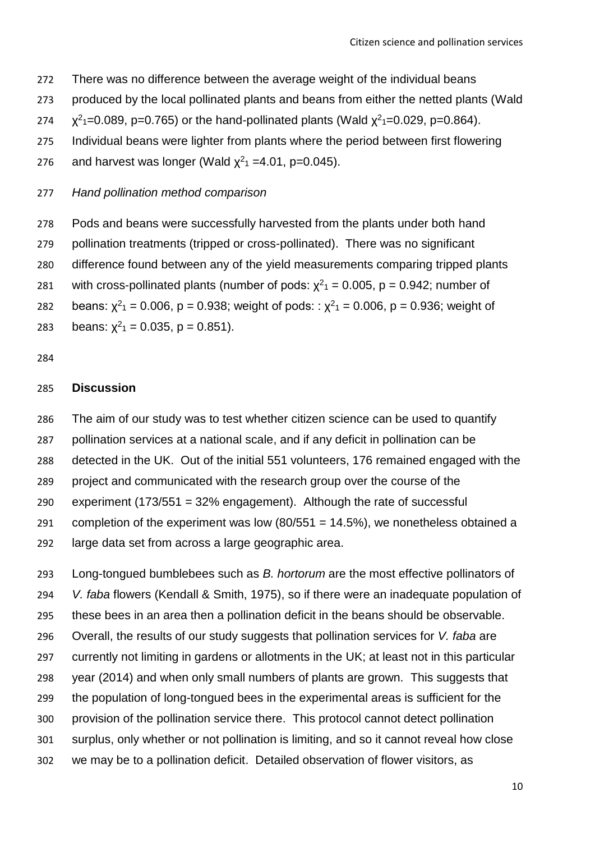- There was no difference between the average weight of the individual beans
- produced by the local pollinated plants and beans from either the netted plants (Wald
- 274  $\chi^2$ <sub>1</sub>=0.089, p=0.765) or the hand-pollinated plants (Wald  $\chi^2$ <sub>1</sub>=0.029, p=0.864).
- Individual beans were lighter from plants where the period between first flowering

276 and harvest was longer (Wald  $\chi^2$ <sub>1</sub> = 4.01, p=0.045).

*Hand pollination method comparison*

Pods and beans were successfully harvested from the plants under both hand

- pollination treatments (tripped or cross-pollinated). There was no significant
- difference found between any of the yield measurements comparing tripped plants
- 281 with cross-pollinated plants (number of pods:  $\chi^2$ <sub>1</sub> = 0.005, p = 0.942; number of
- 282 beans:  $\chi^2$ <sub>1</sub> = 0.006, p = 0.938; weight of pods: :  $\chi^2$ <sub>1</sub> = 0.006, p = 0.936; weight of

283 beans:  $x^2$ <sub>1</sub> = 0.035, p = 0.851).

#### **Discussion**

 The aim of our study was to test whether citizen science can be used to quantify pollination services at a national scale, and if any deficit in pollination can be detected in the UK. Out of the initial 551 volunteers, 176 remained engaged with the project and communicated with the research group over the course of the experiment (173/551 = 32% engagement). Although the rate of successful 291 completion of the experiment was low  $(80/551 = 14.5\%)$ , we nonetheless obtained a large data set from across a large geographic area.

 Long-tongued bumblebees such as *B. hortorum* are the most effective pollinators of *V. faba* flowers (Kendall & Smith, 1975), so if there were an inadequate population of these bees in an area then a pollination deficit in the beans should be observable. Overall, the results of our study suggests that pollination services for *V. faba* are currently not limiting in gardens or allotments in the UK; at least not in this particular year (2014) and when only small numbers of plants are grown. This suggests that the population of long-tongued bees in the experimental areas is sufficient for the provision of the pollination service there. This protocol cannot detect pollination surplus, only whether or not pollination is limiting, and so it cannot reveal how close we may be to a pollination deficit. Detailed observation of flower visitors, as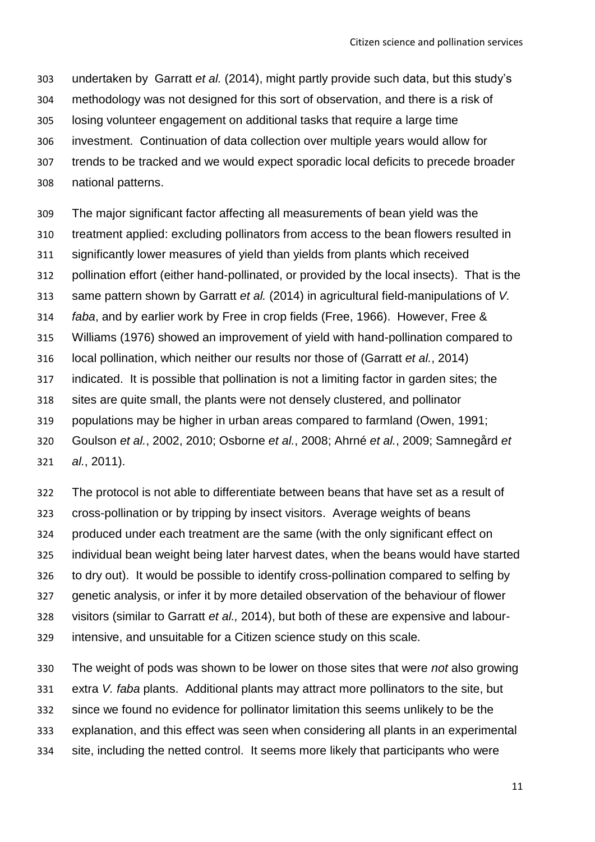undertaken by Garratt *et al.* (2014), might partly provide such data, but this study's methodology was not designed for this sort of observation, and there is a risk of losing volunteer engagement on additional tasks that require a large time investment. Continuation of data collection over multiple years would allow for trends to be tracked and we would expect sporadic local deficits to precede broader national patterns.

 The major significant factor affecting all measurements of bean yield was the treatment applied: excluding pollinators from access to the bean flowers resulted in significantly lower measures of yield than yields from plants which received pollination effort (either hand-pollinated, or provided by the local insects). That is the same pattern shown by Garratt *et al.* (2014) in agricultural field-manipulations of *V. faba*, and by earlier work by Free in crop fields (Free, 1966). However, Free & Williams (1976) showed an improvement of yield with hand-pollination compared to local pollination, which neither our results nor those of (Garratt *et al.*, 2014) indicated. It is possible that pollination is not a limiting factor in garden sites; the sites are quite small, the plants were not densely clustered, and pollinator populations may be higher in urban areas compared to farmland (Owen, 1991; Goulson *et al.*, 2002, 2010; Osborne *et al.*, 2008; Ahrné *et al.*, 2009; Samnegård *et* 

*al.*, 2011).

 The protocol is not able to differentiate between beans that have set as a result of cross-pollination or by tripping by insect visitors. Average weights of beans produced under each treatment are the same (with the only significant effect on individual bean weight being later harvest dates, when the beans would have started to dry out). It would be possible to identify cross-pollination compared to selfing by genetic analysis, or infer it by more detailed observation of the behaviour of flower visitors (similar to Garratt *et al.,* 2014), but both of these are expensive and labour-intensive, and unsuitable for a Citizen science study on this scale.

 The weight of pods was shown to be lower on those sites that were *not* also growing extra *V. faba* plants. Additional plants may attract more pollinators to the site, but since we found no evidence for pollinator limitation this seems unlikely to be the explanation, and this effect was seen when considering all plants in an experimental site, including the netted control. It seems more likely that participants who were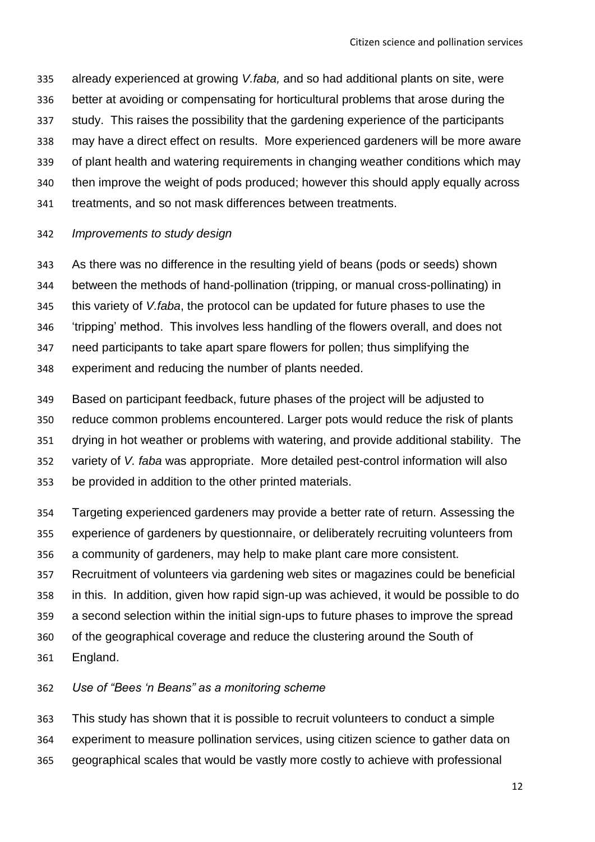already experienced at growing *V.faba,* and so had additional plants on site, were better at avoiding or compensating for horticultural problems that arose during the study. This raises the possibility that the gardening experience of the participants may have a direct effect on results. More experienced gardeners will be more aware of plant health and watering requirements in changing weather conditions which may then improve the weight of pods produced; however this should apply equally across treatments, and so not mask differences between treatments.

#### *Improvements to study design*

 As there was no difference in the resulting yield of beans (pods or seeds) shown between the methods of hand-pollination (tripping, or manual cross-pollinating) in this variety of *V.faba*, the protocol can be updated for future phases to use the 'tripping' method. This involves less handling of the flowers overall, and does not need participants to take apart spare flowers for pollen; thus simplifying the experiment and reducing the number of plants needed.

 Based on participant feedback, future phases of the project will be adjusted to reduce common problems encountered. Larger pots would reduce the risk of plants drying in hot weather or problems with watering, and provide additional stability. The variety of *V. faba* was appropriate. More detailed pest-control information will also be provided in addition to the other printed materials.

 Targeting experienced gardeners may provide a better rate of return. Assessing the experience of gardeners by questionnaire, or deliberately recruiting volunteers from a community of gardeners, may help to make plant care more consistent.

 Recruitment of volunteers via gardening web sites or magazines could be beneficial in this. In addition, given how rapid sign-up was achieved, it would be possible to do a second selection within the initial sign-ups to future phases to improve the spread of the geographical coverage and reduce the clustering around the South of

England.

*Use of "Bees 'n Beans" as a monitoring scheme*

 This study has shown that it is possible to recruit volunteers to conduct a simple experiment to measure pollination services, using citizen science to gather data on geographical scales that would be vastly more costly to achieve with professional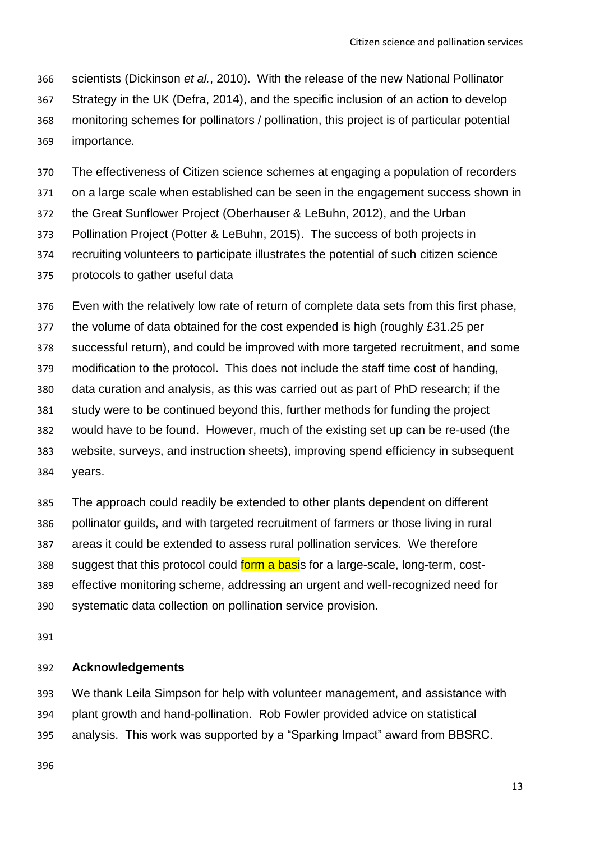scientists (Dickinson *et al.*, 2010). With the release of the new National Pollinator Strategy in the UK (Defra, 2014), and the specific inclusion of an action to develop monitoring schemes for pollinators / pollination, this project is of particular potential importance.

The effectiveness of Citizen science schemes at engaging a population of recorders

on a large scale when established can be seen in the engagement success shown in

the Great Sunflower Project (Oberhauser & LeBuhn, 2012), and the Urban

Pollination Project (Potter & LeBuhn, 2015). The success of both projects in

recruiting volunteers to participate illustrates the potential of such citizen science

protocols to gather useful data

 Even with the relatively low rate of return of complete data sets from this first phase, the volume of data obtained for the cost expended is high (roughly £31.25 per successful return), and could be improved with more targeted recruitment, and some modification to the protocol. This does not include the staff time cost of handing, data curation and analysis, as this was carried out as part of PhD research; if the study were to be continued beyond this, further methods for funding the project would have to be found. However, much of the existing set up can be re-used (the website, surveys, and instruction sheets), improving spend efficiency in subsequent years.

 The approach could readily be extended to other plants dependent on different pollinator guilds, and with targeted recruitment of farmers or those living in rural areas it could be extended to assess rural pollination services. We therefore 388 suggest that this protocol could form a basis for a large-scale, long-term, cost- effective monitoring scheme, addressing an urgent and well-recognized need for systematic data collection on pollination service provision.

#### **Acknowledgements**

 We thank Leila Simpson for help with volunteer management, and assistance with plant growth and hand-pollination. Rob Fowler provided advice on statistical analysis. This work was supported by a "Sparking Impact" award from BBSRC.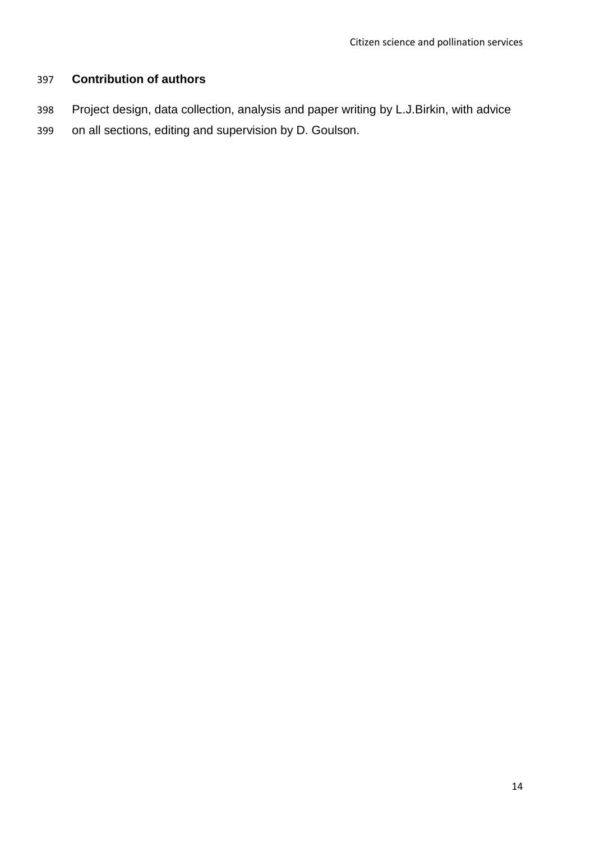# **Contribution of authors**

- Project design, data collection, analysis and paper writing by L.J.Birkin, with advice
- on all sections, editing and supervision by D. Goulson.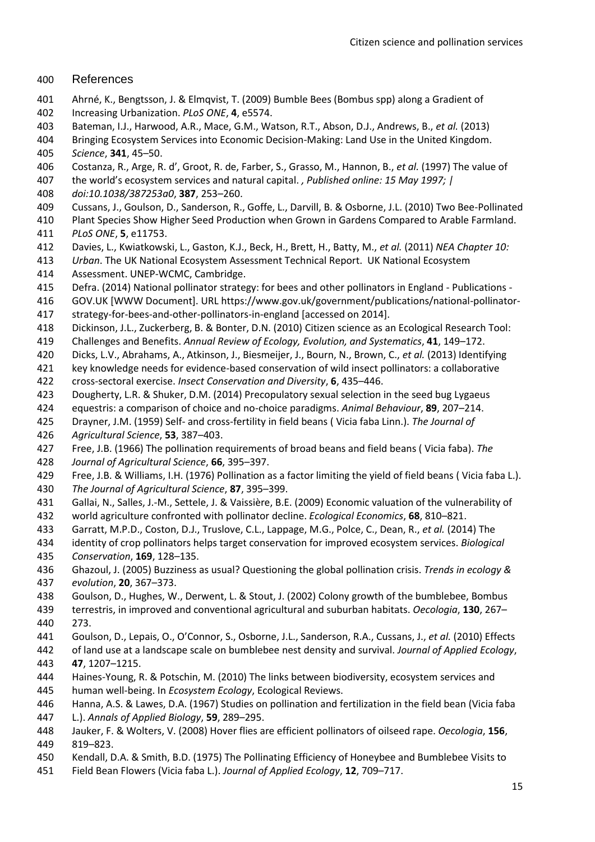#### References

- Ahrné, K., Bengtsson, J. & Elmqvist, T. (2009) Bumble Bees (Bombus spp) along a Gradient of
- Increasing Urbanization. *PLoS ONE*, **4**, e5574.
- Bateman, I.J., Harwood, A.R., Mace, G.M., Watson, R.T., Abson, D.J., Andrews, B., *et al.* (2013)
- Bringing Ecosystem Services into Economic Decision-Making: Land Use in the United Kingdom.
- *Science*, **341**, 45–50.
- Costanza, R., Arge, R. d', Groot, R. de, Farber, S., Grasso, M., Hannon, B., *et al.* (1997) The value of
- the world's ecosystem services and natural capital. *, Published online: 15 May 1997; |*
- *doi:10.1038/387253a0*, **387**, 253–260.
- Cussans, J., Goulson, D., Sanderson, R., Goffe, L., Darvill, B. & Osborne, J.L. (2010) Two Bee-Pollinated
- Plant Species Show Higher Seed Production when Grown in Gardens Compared to Arable Farmland. *PLoS ONE*, **5**, e11753.
- Davies, L., Kwiatkowski, L., Gaston, K.J., Beck, H., Brett, H., Batty, M., *et al.* (2011) *NEA Chapter 10:*
- *Urban*. The UK National Ecosystem Assessment Technical Report. UK National Ecosystem
- Assessment. UNEP-WCMC, Cambridge.
- Defra. (2014) National pollinator strategy: for bees and other pollinators in England Publications -
- GOV.UK [WWW Document]. URL https://www.gov.uk/government/publications/national-pollinator-
- strategy-for-bees-and-other-pollinators-in-england [accessed on 2014].
- Dickinson, J.L., Zuckerberg, B. & Bonter, D.N. (2010) Citizen science as an Ecological Research Tool:
- Challenges and Benefits. *Annual Review of Ecology, Evolution, and Systematics*, **41**, 149–172.
- Dicks, L.V., Abrahams, A., Atkinson, J., Biesmeijer, J., Bourn, N., Brown, C., *et al.* (2013) Identifying

 key knowledge needs for evidence-based conservation of wild insect pollinators: a collaborative cross-sectoral exercise. *Insect Conservation and Diversity*, **6**, 435–446.

- Dougherty, L.R. & Shuker, D.M. (2014) Precopulatory sexual selection in the seed bug Lygaeus
- equestris: a comparison of choice and no-choice paradigms. *Animal Behaviour*, **89**, 207–214.
- Drayner, J.M. (1959) Self- and cross-fertility in field beans ( Vicia faba Linn.). *The Journal of*
- *Agricultural Science*, **53**, 387–403.
- Free, J.B. (1966) The pollination requirements of broad beans and field beans ( Vicia faba). *The*
- *Journal of Agricultural Science*, **66**, 395–397.
- Free, J.B. & Williams, I.H. (1976) Pollination as a factor limiting the yield of field beans ( Vicia faba L.). *The Journal of Agricultural Science*, **87**, 395–399.
- Gallai, N., Salles, J.-M., Settele, J. & Vaissière, B.E. (2009) Economic valuation of the vulnerability of
- world agriculture confronted with pollinator decline. *Ecological Economics*, **68**, 810–821.
- Garratt, M.P.D., Coston, D.J., Truslove, C.L., Lappage, M.G., Polce, C., Dean, R., *et al.* (2014) The
- identity of crop pollinators helps target conservation for improved ecosystem services. *Biological Conservation*, **169**, 128–135.
- Ghazoul, J. (2005) Buzziness as usual? Questioning the global pollination crisis. *Trends in ecology & evolution*, **20**, 367–373.
- Goulson, D., Hughes, W., Derwent, L. & Stout, J. (2002) Colony growth of the bumblebee, Bombus
- terrestris, in improved and conventional agricultural and suburban habitats. *Oecologia*, **130**, 267– 273.
- Goulson, D., Lepais, O., O'Connor, S., Osborne, J.L., Sanderson, R.A., Cussans, J., *et al.* (2010) Effects
- of land use at a landscape scale on bumblebee nest density and survival. *Journal of Applied Ecology*, **47**, 1207–1215.
- Haines-Young, R. & Potschin, M. (2010) The links between biodiversity, ecosystem services and
- human well-being. In *Ecosystem Ecology*, Ecological Reviews.

 Hanna, A.S. & Lawes, D.A. (1967) Studies on pollination and fertilization in the field bean (Vicia faba L.). *Annals of Applied Biology*, **59**, 289–295.

- Jauker, F. & Wolters, V. (2008) Hover flies are efficient pollinators of oilseed rape. *Oecologia*, **156**, 819–823.
- Kendall, D.A. & Smith, B.D. (1975) The Pollinating Efficiency of Honeybee and Bumblebee Visits to
- Field Bean Flowers (Vicia faba L.). *Journal of Applied Ecology*, **12**, 709–717.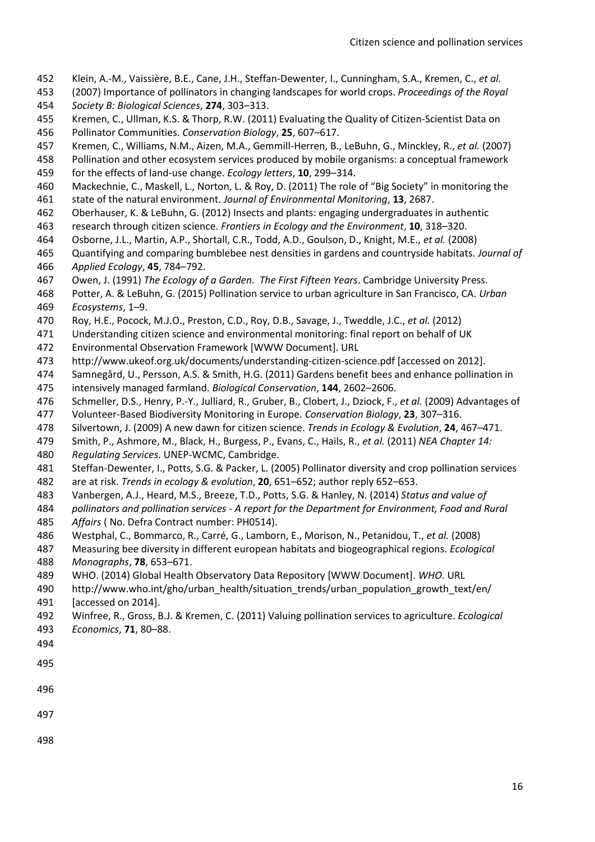- Klein, A.-M., Vaissière, B.E., Cane, J.H., Steffan-Dewenter, I., Cunningham, S.A., Kremen, C., *et al.*
- (2007) Importance of pollinators in changing landscapes for world crops. *Proceedings of the Royal Society B: Biological Sciences*, **274**, 303–313.
- Kremen, C., Ullman, K.S. & Thorp, R.W. (2011) Evaluating the Quality of Citizen-Scientist Data on Pollinator Communities. *Conservation Biology*, **25**, 607–617.
- Kremen, C., Williams, N.M., Aizen, M.A., Gemmill-Herren, B., LeBuhn, G., Minckley, R., *et al.* (2007)
- Pollination and other ecosystem services produced by mobile organisms: a conceptual framework
- for the effects of land-use change. *Ecology letters*, **10**, 299–314.
- Mackechnie, C., Maskell, L., Norton, L. & Roy, D. (2011) The role of "Big Society" in monitoring the
- state of the natural environment. *Journal of Environmental Monitoring*, **13**, 2687.
- Oberhauser, K. & LeBuhn, G. (2012) Insects and plants: engaging undergraduates in authentic
- research through citizen science. *Frontiers in Ecology and the Environment*, **10**, 318–320.
- Osborne, J.L., Martin, A.P., Shortall, C.R., Todd, A.D., Goulson, D., Knight, M.E., *et al.* (2008)
- Quantifying and comparing bumblebee nest densities in gardens and countryside habitats. *Journal of Applied Ecology*, **45**, 784–792.
- Owen, J. (1991) *The Ecology of a Garden. The First Fifteen Years*. Cambridge University Press.
- Potter, A. & LeBuhn, G. (2015) Pollination service to urban agriculture in San Francisco, CA. *Urban Ecosystems*, 1–9.
- Roy, H.E., Pocock, M.J.O., Preston, C.D., Roy, D.B., Savage, J., Tweddle, J.C., *et al.* (2012)
- Understanding citizen science and environmental monitoring: final report on behalf of UK
- Environmental Observation Framework [WWW Document]. URL
- http://www.ukeof.org.uk/documents/understanding-citizen-science.pdf [accessed on 2012].
- Samnegård, U., Persson, A.S. & Smith, H.G. (2011) Gardens benefit bees and enhance pollination in intensively managed farmland. *Biological Conservation*, **144**, 2602–2606.
- Schmeller, D.S., Henry, P.-Y., Julliard, R., Gruber, B., Clobert, J., Dziock, F., *et al.* (2009) Advantages of
- Volunteer-Based Biodiversity Monitoring in Europe. *Conservation Biology*, **23**, 307–316.
- Silvertown, J. (2009) A new dawn for citizen science. *Trends in Ecology & Evolution*, **24**, 467–471.
- Smith, P., Ashmore, M., Black, H., Burgess, P., Evans, C., Hails, R., *et al.* (2011) *NEA Chapter 14:*
- *Regulating Services*. UNEP-WCMC, Cambridge.
- Steffan-Dewenter, I., Potts, S.G. & Packer, L. (2005) Pollinator diversity and crop pollination services
- are at risk. *Trends in ecology & evolution*, **20**, 651–652; author reply 652–653.
- Vanbergen, A.J., Heard, M.S., Breeze, T.D., Potts, S.G. & Hanley, N. (2014) *Status and value of*
- *pollinators and pollination services - A report for the Department for Environment, Food and Rural Affairs* ( No. Defra Contract number: PH0514).
- Westphal, C., Bommarco, R., Carré, G., Lamborn, E., Morison, N., Petanidou, T., *et al.* (2008)
- Measuring bee diversity in different european habitats and biogeographical regions. *Ecological Monographs*, **78**, 653–671.
- WHO. (2014) Global Health Observatory Data Repository [WWW Document]. *WHO*. URL
- 490 http://www.who.int/gho/urban\_health/situation\_trends/urban\_population\_growth\_text/en/ [accessed on 2014].
- Winfree, R., Gross, B.J. & Kremen, C. (2011) Valuing pollination services to agriculture. *Ecological Economics*, **71**, 80–88.
- 
- 
- 
- 
- 
-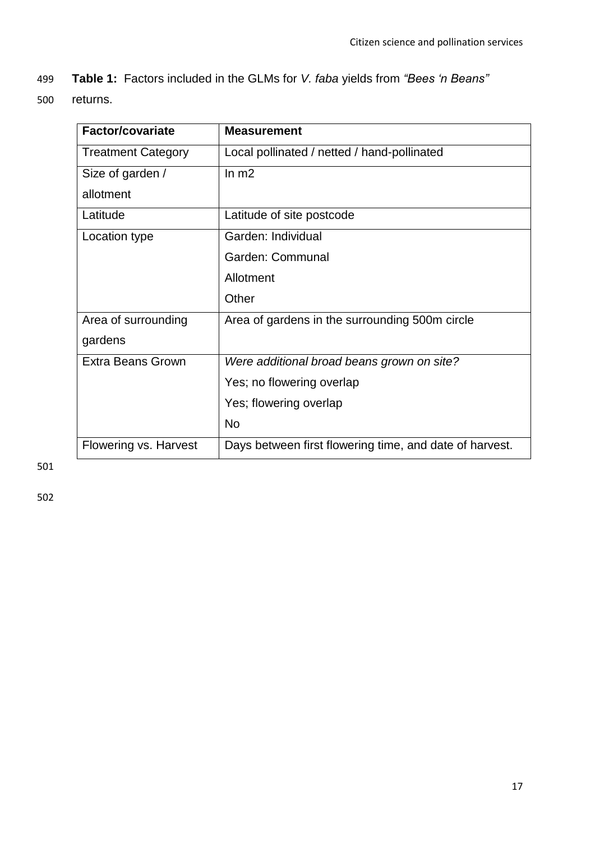- 499 **Table 1:** Factors included in the GLMs for *V. faba* yields from *"Bees 'n Beans"*
- 500 returns.

| Factor/covariate          | <b>Measurement</b>                                      |
|---------------------------|---------------------------------------------------------|
| <b>Treatment Category</b> | Local pollinated / netted / hand-pollinated             |
| Size of garden /          | ln m2                                                   |
| allotment                 |                                                         |
| Latitude                  | Latitude of site postcode                               |
| Location type             | Garden: Individual                                      |
|                           | Garden: Communal                                        |
|                           | Allotment                                               |
|                           | Other                                                   |
| Area of surrounding       | Area of gardens in the surrounding 500m circle          |
| gardens                   |                                                         |
| <b>Extra Beans Grown</b>  | Were additional broad beans grown on site?              |
|                           | Yes; no flowering overlap                               |
|                           | Yes; flowering overlap                                  |
|                           | <b>No</b>                                               |
| Flowering vs. Harvest     | Days between first flowering time, and date of harvest. |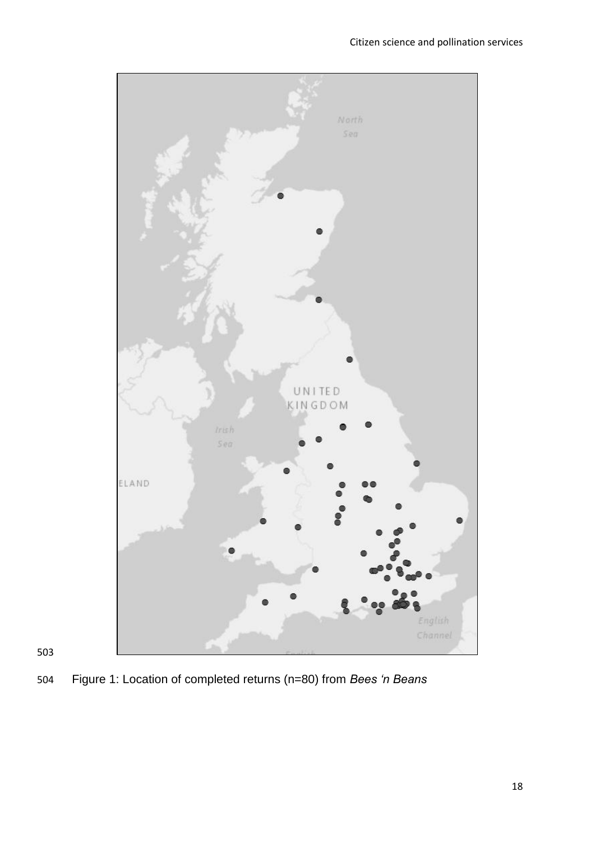

Figure 1: Location of completed returns (n=80) from *Bees 'n Beans*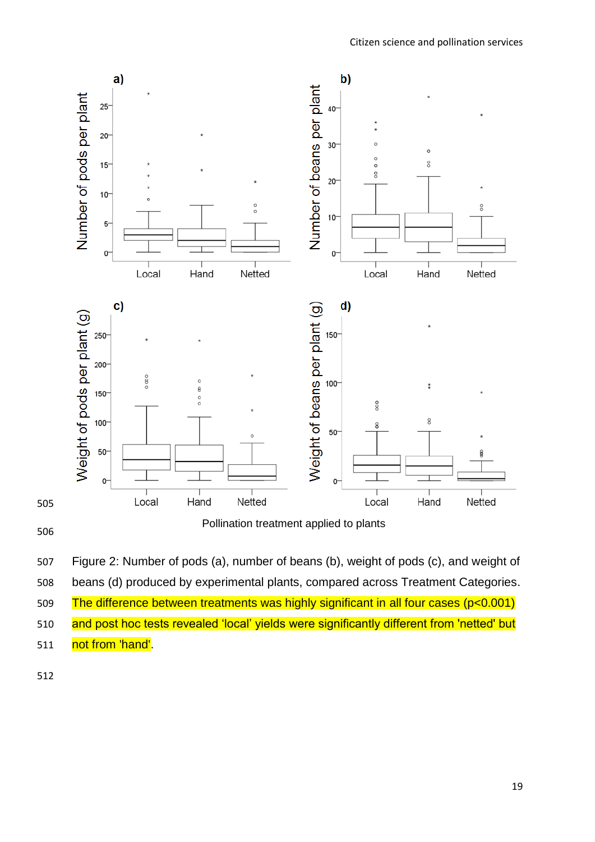

 Figure 2: Number of pods (a), number of beans (b), weight of pods (c), and weight of beans (d) produced by experimental plants, compared across Treatment Categories. The difference between treatments was highly significant in all four cases (p<0.001) 510 and post hoc tests revealed 'local' yields were significantly different from 'netted' but 511 not from 'hand'.